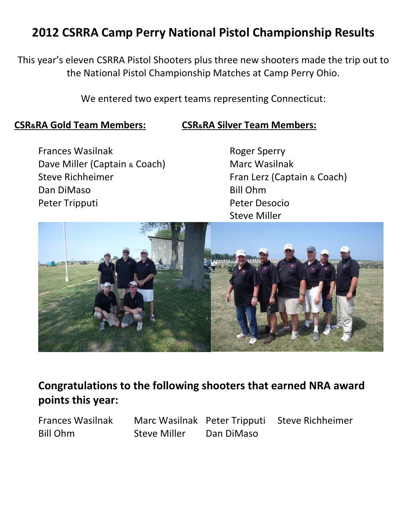## **2012 CSRRA Camp Perry National Pistol Championship Results**

This year's eleven CSRRA Pistol Shooters plus three new shooters made the trip out to the National Pistol Championship Matches at Camp Perry Ohio.

We entered two expert teams representing Connecticut:

#### **CSR&RA Gold Team Members: CSR&RA Silver Team Members:**

Frances Wasilnak **Roger Sperry** Dave Miller (Captain & Coach) Marc Wasilnak Steve Richheimer Fran Lerz (Captain & Coach) Dan DiMaso Bill Ohm Peter Tripputi Peter Desocio

Steve Miller



## **Congratulations to the following shooters that earned NRA award points this year:**

Bill Ohm Steve Miller Dan DiMaso

Frances Wasilnak Marc Wasilnak Peter Tripputi Steve Richheimer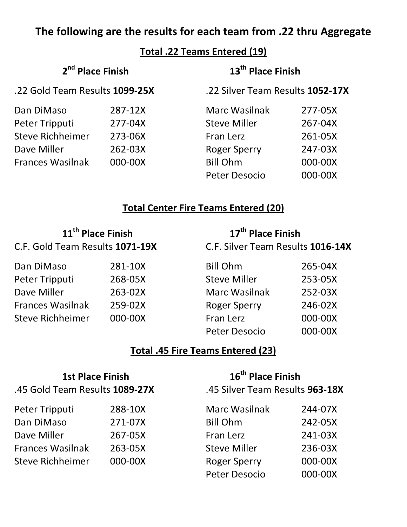## **The following are the results for each team from .22 thru Aggregate**

**Total .22 Teams Entered (19)**

| 2 <sup>nd</sup> Place Finish<br>.22 Gold Team Results 1099-25X |         | 13 <sup>th</sup> Place Finish    |         |
|----------------------------------------------------------------|---------|----------------------------------|---------|
|                                                                |         | .22 Silver Team Results 1052-17X |         |
| Dan DiMaso                                                     | 287-12X | Marc Wasilnak                    | 277-05X |
| Peter Tripputi                                                 | 277-04X | <b>Steve Miller</b>              | 267-04X |
| <b>Steve Richheimer</b>                                        | 273-06X | Fran Lerz                        | 261-05X |
| Dave Miller                                                    | 262-03X | <b>Roger Sperry</b>              | 247-03X |
| <b>Frances Wasilnak</b>                                        | 000-00X | <b>Bill Ohm</b>                  | 000-00X |
|                                                                |         | <b>Peter Desocio</b>             | 000-00X |

## **Total Center Fire Teams Entered (20)**

| 11 <sup>th</sup> Place Finish<br>C.F. Gold Team Results 1071-19X |         | 17 <sup>th</sup> Place Finish     |         |
|------------------------------------------------------------------|---------|-----------------------------------|---------|
|                                                                  |         | C.F. Silver Team Results 1016-14X |         |
| Dan DiMaso                                                       | 281-10X | <b>Bill Ohm</b>                   | 265-04X |
| Peter Tripputi                                                   | 268-05X | <b>Steve Miller</b>               | 253-05X |
| Dave Miller                                                      | 263-02X | <b>Marc Wasilnak</b>              | 252-03X |
| <b>Frances Wasilnak</b>                                          | 259-02X | <b>Roger Sperry</b>               | 246-02X |
| <b>Steve Richheimer</b>                                          | 000-00X | Fran Lerz                         | 000-00X |
|                                                                  |         | <b>Peter Desocio</b>              | 000-00X |

## **Total .45 Fire Teams Entered (23)**

| <b>1st Place Finish</b><br>.45 Gold Team Results 1089-27X |         | 16 <sup>th</sup> Place Finish<br>.45 Silver Team Results 963-18X |         |  |
|-----------------------------------------------------------|---------|------------------------------------------------------------------|---------|--|
| Peter Tripputi                                            | 288-10X | Marc Wasilnak                                                    | 244-07X |  |
| Dan DiMaso                                                | 271-07X | <b>Bill Ohm</b>                                                  | 242-05X |  |
| Dave Miller                                               | 267-05X | Fran Lerz                                                        | 241-03X |  |
| <b>Frances Wasilnak</b>                                   | 263-05X | <b>Steve Miller</b>                                              | 236-03X |  |
| <b>Steve Richheimer</b>                                   | 000-00X | <b>Roger Sperry</b>                                              | 000-00X |  |
|                                                           |         | Peter Desocio                                                    | 000-00X |  |